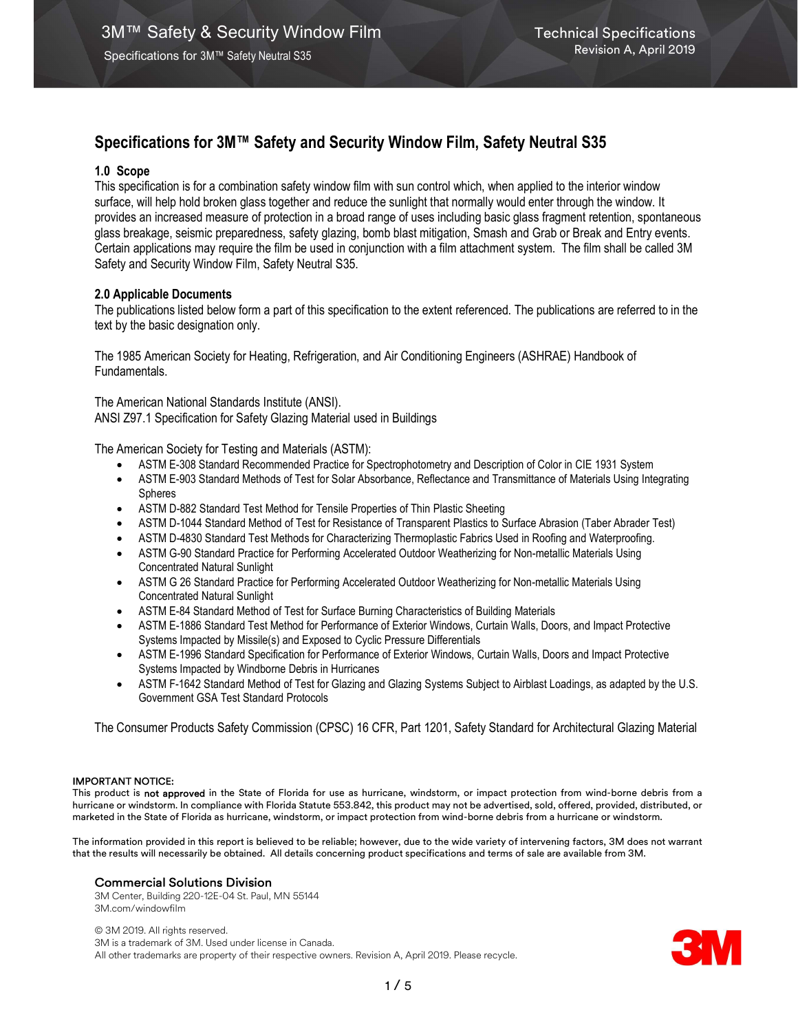# Specifications for 3M™ Safety and Security Window Film, Safety Neutral S35

# 1.0 Scope

This specification is for a combination safety window film with sun control which, when applied to the interior window surface, will help hold broken glass together and reduce the sunlight that normally would enter through the window. It provides an increased measure of protection in a broad range of uses including basic glass fragment retention, spontaneous glass breakage, seismic preparedness, safety glazing, bomb blast mitigation, Smash and Grab or Break and Entry events. Certain applications may require the film be used in conjunction with a film attachment system. The film shall be called 3M Safety and Security Window Film, Safety Neutral S35.

# 2.0 Applicable Documents

The publications listed below form a part of this specification to the extent referenced. The publications are referred to in the text by the basic designation only.

The 1985 American Society for Heating, Refrigeration, and Air Conditioning Engineers (ASHRAE) Handbook of Fundamentals.

The American National Standards Institute (ANSI). ANSI Z97.1 Specification for Safety Glazing Material used in Buildings

The American Society for Testing and Materials (ASTM):

- ASTM E-308 Standard Recommended Practice for Spectrophotometry and Description of Color in CIE 1931 System
- ASTM E-903 Standard Methods of Test for Solar Absorbance, Reflectance and Transmittance of Materials Using Integrating Spheres
- ASTM D-882 Standard Test Method for Tensile Properties of Thin Plastic Sheeting
- ASTM D-1044 Standard Method of Test for Resistance of Transparent Plastics to Surface Abrasion (Taber Abrader Test)
- ASTM D-4830 Standard Test Methods for Characterizing Thermoplastic Fabrics Used in Roofing and Waterproofing.
- ASTM G-90 Standard Practice for Performing Accelerated Outdoor Weatherizing for Non-metallic Materials Using Concentrated Natural Sunlight
- ASTM G 26 Standard Practice for Performing Accelerated Outdoor Weatherizing for Non-metallic Materials Using Concentrated Natural Sunlight
- ASTM E-84 Standard Method of Test for Surface Burning Characteristics of Building Materials
- ASTM E-1886 Standard Test Method for Performance of Exterior Windows, Curtain Walls, Doors, and Impact Protective Systems Impacted by Missile(s) and Exposed to Cyclic Pressure Differentials
- ASTM E-1996 Standard Specification for Performance of Exterior Windows, Curtain Walls, Doors and Impact Protective Systems Impacted by Windborne Debris in Hurricanes
- ASTM F-1642 Standard Method of Test for Glazing and Glazing Systems Subject to Airblast Loadings, as adapted by the U.S. Government GSA Test Standard Protocols

The Consumer Products Safety Commission (CPSC) 16 CFR, Part 1201, Safety Standard for Architectural Glazing Material

## IMPORTANT NOTICE:

This product is not approved in the State of Florida for use as hurricane, windstorm, or impact protection from wind-borne debris from a hurricane or windstorm. In compliance with Florida Statute 553.842, this product may not be advertised, sold, offered, provided, distributed, or marketed in the State of Florida as hurricane, windstorm, or impact protection from wind-borne debris from a hurricane or windstorm.

The information provided in this report is believed to be reliable; however, due to the wide variety of intervening factors, 3M does not warrant that the results will necessarily be obtained. All details concerning product specifications and terms of sale are available from 3M.

## Commercial Solutions Division

3M Center, Building 220-12E-04 St. Paul, MN 55144 3M.com/windowfilm

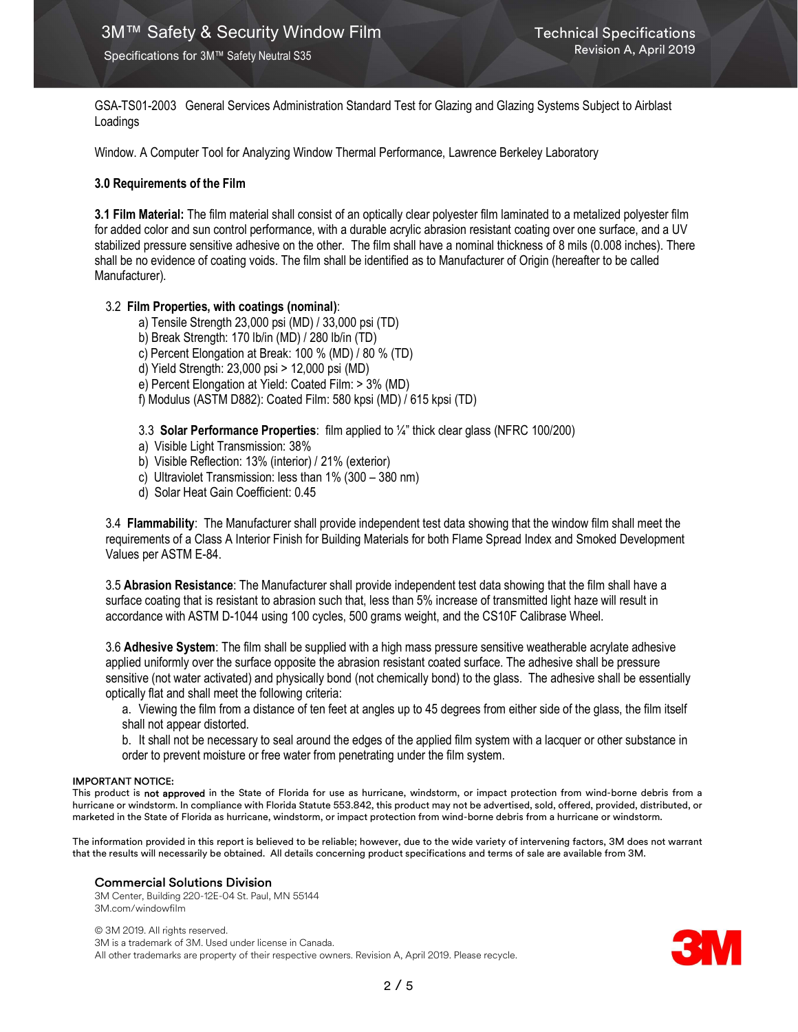GSA-TS01-2003 General Services Administration Standard Test for Glazing and Glazing Systems Subject to Airblast Loadings

Window. A Computer Tool for Analyzing Window Thermal Performance, Lawrence Berkeley Laboratory

## 3.0 Requirements of the Film

3.1 Film Material: The film material shall consist of an optically clear polyester film laminated to a metalized polyester film for added color and sun control performance, with a durable acrylic abrasion resistant coating over one surface, and a UV stabilized pressure sensitive adhesive on the other. The film shall have a nominal thickness of 8 mils (0.008 inches). There shall be no evidence of coating voids. The film shall be identified as to Manufacturer of Origin (hereafter to be called Manufacturer).

# 3.2 Film Properties, with coatings (nominal):

- a) Tensile Strength 23,000 psi (MD) / 33,000 psi (TD)
- b) Break Strength: 170 lb/in (MD) / 280 lb/in (TD)
- c) Percent Elongation at Break: 100 % (MD) / 80 % (TD)
- d) Yield Strength: 23,000 psi > 12,000 psi (MD)
- e) Percent Elongation at Yield: Coated Film: > 3% (MD)
- f) Modulus (ASTM D882): Coated Film: 580 kpsi (MD) / 615 kpsi (TD)

3.3 Solar Performance Properties: film applied to ¼" thick clear glass (NFRC 100/200)

- a) Visible Light Transmission: 38%
- b) Visible Reflection: 13% (interior) / 21% (exterior)
- c) Ultraviolet Transmission: less than 1% (300 380 nm)
- d) Solar Heat Gain Coefficient: 0.45

3.4 Flammability: The Manufacturer shall provide independent test data showing that the window film shall meet the requirements of a Class A Interior Finish for Building Materials for both Flame Spread Index and Smoked Development Values per ASTM E-84.

3.5 Abrasion Resistance: The Manufacturer shall provide independent test data showing that the film shall have a surface coating that is resistant to abrasion such that, less than 5% increase of transmitted light haze will result in accordance with ASTM D-1044 using 100 cycles, 500 grams weight, and the CS10F Calibrase Wheel.

3.6 Adhesive System: The film shall be supplied with a high mass pressure sensitive weatherable acrylate adhesive applied uniformly over the surface opposite the abrasion resistant coated surface. The adhesive shall be pressure sensitive (not water activated) and physically bond (not chemically bond) to the glass. The adhesive shall be essentially optically flat and shall meet the following criteria:

a. Viewing the film from a distance of ten feet at angles up to 45 degrees from either side of the glass, the film itself shall not appear distorted.

b. It shall not be necessary to seal around the edges of the applied film system with a lacquer or other substance in order to prevent moisture or free water from penetrating under the film system.

#### IMPORTANT NOTICE:

This product is not approved in the State of Florida for use as hurricane, windstorm, or impact protection from wind-borne debris from a hurricane or windstorm. In compliance with Florida Statute 553.842, this product may not be advertised, sold, offered, provided, distributed, or marketed in the State of Florida as hurricane, windstorm, or impact protection from wind-borne debris from a hurricane or windstorm.

The information provided in this report is believed to be reliable; however, due to the wide variety of intervening factors, 3M does not warrant that the results will necessarily be obtained. All details concerning product specifications and terms of sale are available from 3M.

#### Commercial Solutions Division

3M Center, Building 220-12E-04 St. Paul, MN 55144 3M.com/windowfilm

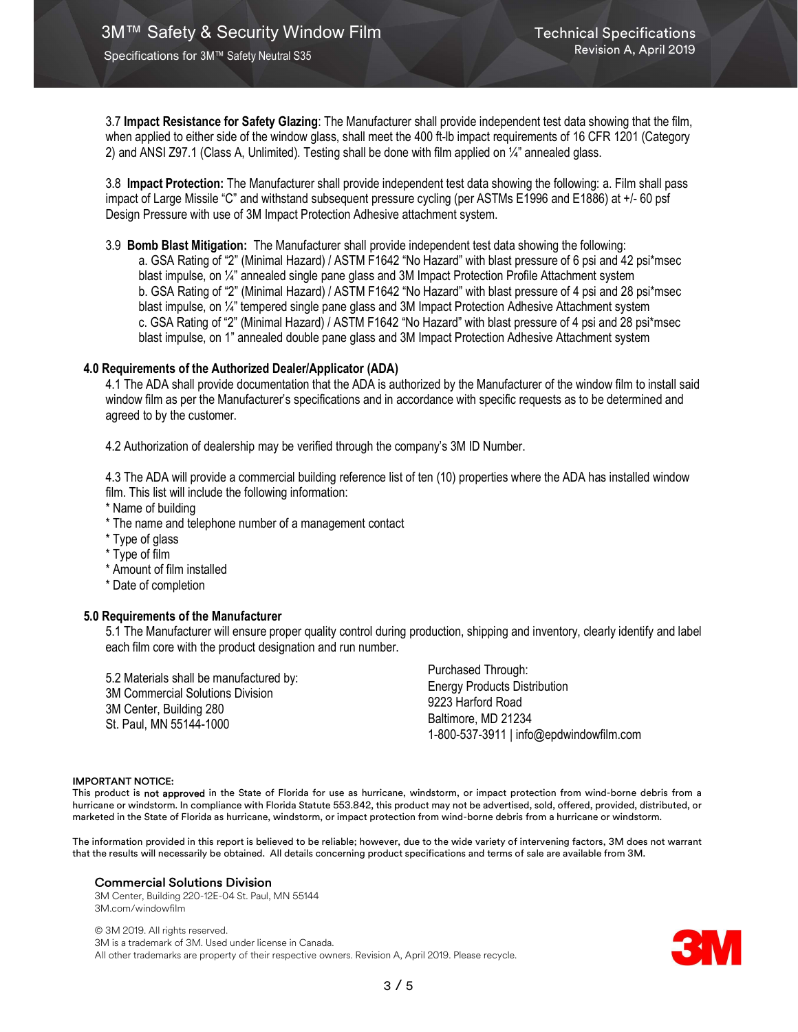3.7 Impact Resistance for Safety Glazing: The Manufacturer shall provide independent test data showing that the film, when applied to either side of the window glass, shall meet the 400 ft-lb impact requirements of 16 CFR 1201 (Category 2) and ANSI Z97.1 (Class A, Unlimited). Testing shall be done with film applied on ¼" annealed glass.

3.8 Impact Protection: The Manufacturer shall provide independent test data showing the following: a. Film shall pass impact of Large Missile "C" and withstand subsequent pressure cycling (per ASTMs E1996 and E1886) at +/- 60 psf Design Pressure with use of 3M Impact Protection Adhesive attachment system.

3.9 Bomb Blast Mitigation: The Manufacturer shall provide independent test data showing the following: a. GSA Rating of "2" (Minimal Hazard) / ASTM F1642 "No Hazard" with blast pressure of 6 psi and 42 psi\*msec blast impulse, on ¼" annealed single pane glass and 3M Impact Protection Profile Attachment system b. GSA Rating of "2" (Minimal Hazard) / ASTM F1642 "No Hazard" with blast pressure of 4 psi and 28 psi\*msec blast impulse, on ¼" tempered single pane glass and 3M Impact Protection Adhesive Attachment system c. GSA Rating of "2" (Minimal Hazard) / ASTM F1642 "No Hazard" with blast pressure of 4 psi and 28 psi\*msec blast impulse, on 1" annealed double pane glass and 3M Impact Protection Adhesive Attachment system

## 4.0 Requirements of the Authorized Dealer/Applicator (ADA)

4.1 The ADA shall provide documentation that the ADA is authorized by the Manufacturer of the window film to install said window film as per the Manufacturer's specifications and in accordance with specific requests as to be determined and agreed to by the customer.

4.2 Authorization of dealership may be verified through the company's 3M ID Number.

4.3 The ADA will provide a commercial building reference list of ten (10) properties where the ADA has installed window film. This list will include the following information:

- \* Name of building
- \* The name and telephone number of a management contact
- \* Type of glass
- \* Type of film
- \* Amount of film installed
- \* Date of completion

# 5.0 Requirements of the Manufacturer

5.1 The Manufacturer will ensure proper quality control during production, shipping and inventory, clearly identify and label each film core with the product designation and run number.

5.2 Materials shall be manufactured by: 3M Commercial Solutions Division 3M Center, Building 280 St. Paul, MN 55144-1000

Purchased Through: Energy Products Distribution 9223 Harford Road Baltimore, MD 21234 1-800-537-3911 | info@epdwindowfilm.com

#### IMPORTANT NOTICE:

This product is not approved in the State of Florida for use as hurricane, windstorm, or impact protection from wind-borne debris from a hurricane or windstorm. In compliance with Florida Statute 553.842, this product may not be advertised, sold, offered, provided, distributed, or marketed in the State of Florida as hurricane, windstorm, or impact protection from wind-borne debris from a hurricane or windstorm.

The information provided in this report is believed to be reliable; however, due to the wide variety of intervening factors, 3M does not warrant that the results will necessarily be obtained. All details concerning product specifications and terms of sale are available from 3M.

#### Commercial Solutions Division

3M Center, Building 220-12E-04 St. Paul, MN 55144 3M.com/windowfilm

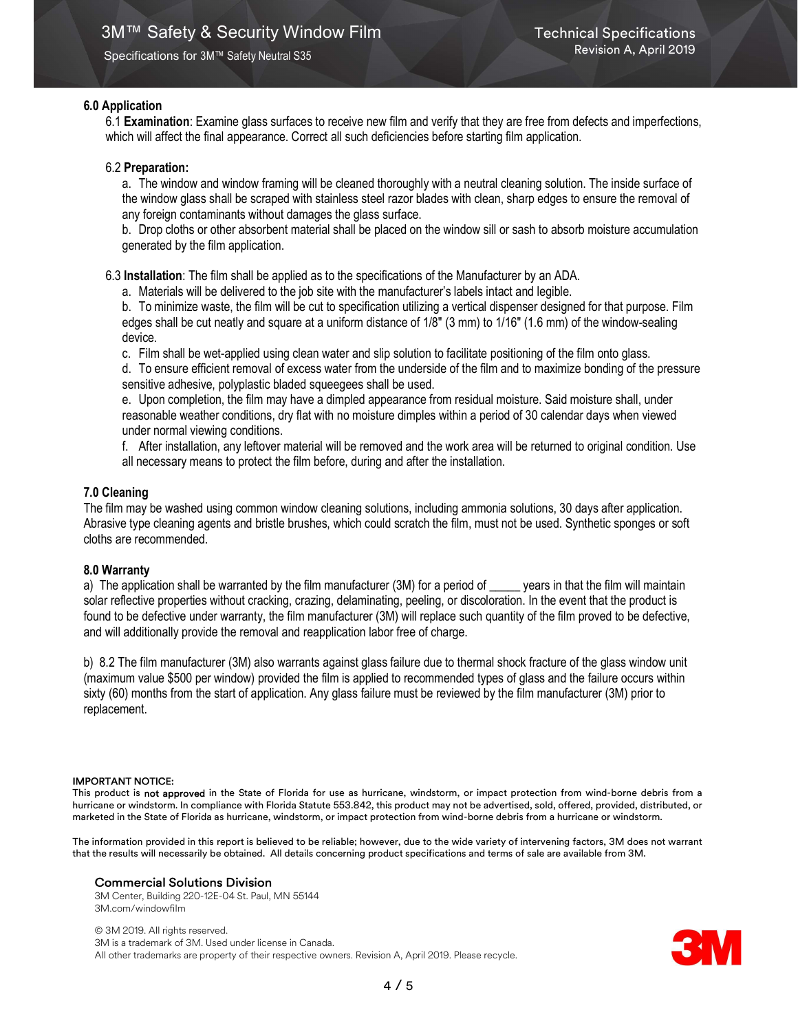# 6.0 Application

6.1 Examination: Examine glass surfaces to receive new film and verify that they are free from defects and imperfections, which will affect the final appearance. Correct all such deficiencies before starting film application.

# 6.2 Preparation:

a. The window and window framing will be cleaned thoroughly with a neutral cleaning solution. The inside surface of the window glass shall be scraped with stainless steel razor blades with clean, sharp edges to ensure the removal of any foreign contaminants without damages the glass surface.

b. Drop cloths or other absorbent material shall be placed on the window sill or sash to absorb moisture accumulation generated by the film application.

6.3 Installation: The film shall be applied as to the specifications of the Manufacturer by an ADA.

a. Materials will be delivered to the job site with the manufacturer's labels intact and legible.

b. To minimize waste, the film will be cut to specification utilizing a vertical dispenser designed for that purpose. Film edges shall be cut neatly and square at a uniform distance of 1/8" (3 mm) to 1/16" (1.6 mm) of the window-sealing device.

c. Film shall be wet-applied using clean water and slip solution to facilitate positioning of the film onto glass.

d. To ensure efficient removal of excess water from the underside of the film and to maximize bonding of the pressure sensitive adhesive, polyplastic bladed squeegees shall be used.

e. Upon completion, the film may have a dimpled appearance from residual moisture. Said moisture shall, under reasonable weather conditions, dry flat with no moisture dimples within a period of 30 calendar days when viewed under normal viewing conditions.

f. After installation, any leftover material will be removed and the work area will be returned to original condition. Use all necessary means to protect the film before, during and after the installation.

# 7.0 Cleaning

The film may be washed using common window cleaning solutions, including ammonia solutions, 30 days after application. Abrasive type cleaning agents and bristle brushes, which could scratch the film, must not be used. Synthetic sponges or soft cloths are recommended.

# 8.0 Warranty

a) The application shall be warranted by the film manufacturer (3M) for a period of \_\_\_\_\_ years in that the film will maintain solar reflective properties without cracking, crazing, delaminating, peeling, or discoloration. In the event that the product is found to be defective under warranty, the film manufacturer (3M) will replace such quantity of the film proved to be defective, and will additionally provide the removal and reapplication labor free of charge.

b) 8.2 The film manufacturer (3M) also warrants against glass failure due to thermal shock fracture of the glass window unit (maximum value \$500 per window) provided the film is applied to recommended types of glass and the failure occurs within sixty (60) months from the start of application. Any glass failure must be reviewed by the film manufacturer (3M) prior to replacement.

## IMPORTANT NOTICE:

This product is not approved in the State of Florida for use as hurricane, windstorm, or impact protection from wind-borne debris from a hurricane or windstorm. In compliance with Florida Statute 553.842, this product may not be advertised, sold, offered, provided, distributed, or marketed in the State of Florida as hurricane, windstorm, or impact protection from wind-borne debris from a hurricane or windstorm.

The information provided in this report is believed to be reliable; however, due to the wide variety of intervening factors, 3M does not warrant that the results will necessarily be obtained. All details concerning product specifications and terms of sale are available from 3M.

## Commercial Solutions Division

3M Center, Building 220-12E-04 St. Paul, MN 55144 3M.com/windowfilm